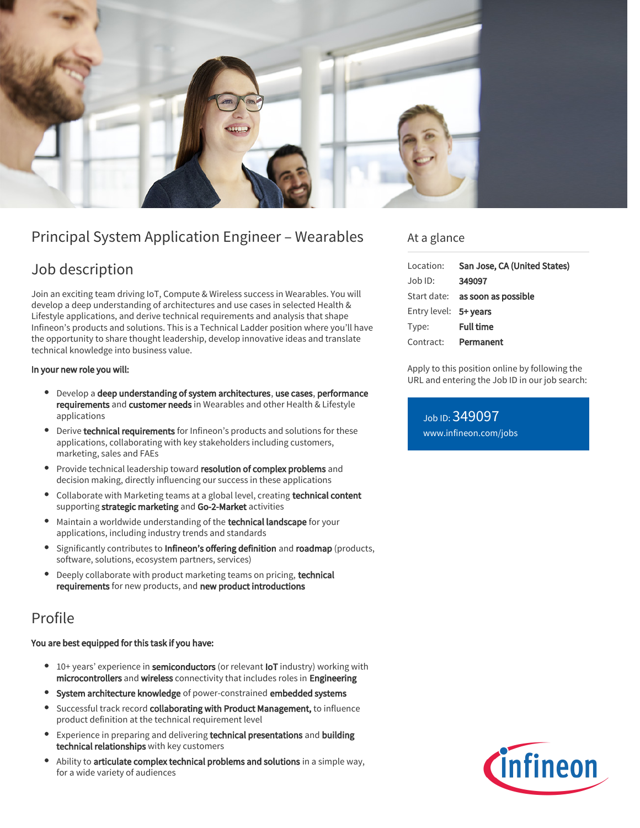

# Principal System Application Engineer – Wearables

# Job description

Join an exciting team driving IoT, Compute & Wireless success in Wearables. You will develop a deep understanding of architectures and use cases in selected Health & Lifestyle applications, and derive technical requirements and analysis that shape Infineon's products and solutions. This is a Technical Ladder position where you'll have the opportunity to share thought leadership, develop innovative ideas and translate technical knowledge into business value.

#### In your new role you will:

- Develop a deep understanding of system architectures, use cases, performance requirements and customer needs in Wearables and other Health & Lifestyle applications
- Derive technical requirements for Infineon's products and solutions for these applications, collaborating with key stakeholders including customers, marketing, sales and FAEs
- **Provide technical leadership toward resolution of complex problems** and decision making, directly influencing our success in these applications
- Collaborate with Marketing teams at a global level, creating technical content supporting strategic marketing and Go-2-Market activities
- Maintain a worldwide understanding of the technical landscape for your applications, including industry trends and standards
- Significantly contributes to Infineon's offering definition and roadmap (products, software, solutions, ecosystem partners, services)
- Deeply collaborate with product marketing teams on pricing, technical requirements for new products, and new product introductions

## Profile

#### You are best equipped for this task if you have:

- 10+ years' experience in semiconductors (or relevant loT industry) working with microcontrollers and wireless connectivity that includes roles in Engineering
- System architecture knowledge of power-constrained embedded systems
- Successful track record collaborating with Product Management, to influence product definition at the technical requirement level
- **Experience in preparing and delivering technical presentations and building** technical relationships with key customers
- Ability to **articulate complex technical problems and solutions** in a simple way, for a wide variety of audiences

### At a glance

Apply to this position online by following the URL and entering the Job ID in our job search:

Job ID: 349097 [www.infineon.com/jobs](https://www.infineon.com/jobs)

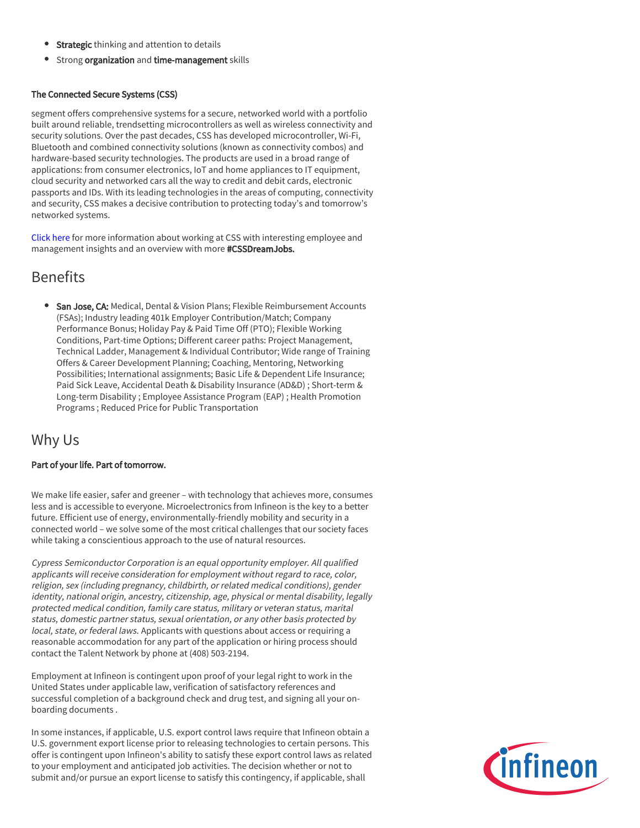- **Strategic** thinking and attention to details
- **•** Strong organization and time-management skills

#### The Connected Secure Systems (CSS)

segment offers comprehensive systems for a secure, networked world with a portfolio built around reliable, trendsetting microcontrollers as well as wireless connectivity and security solutions. Over the past decades, CSS has developed microcontroller, Wi-Fi, Bluetooth and combined connectivity solutions (known as connectivity combos) and hardware-based security technologies. The products are used in a broad range of applications: from consumer electronics, IoT and home appliances to IT equipment, cloud security and networked cars all the way to credit and debit cards, electronic passports and IDs. With its leading technologies in the areas of computing, connectivity and security, CSS makes a decisive contribution to protecting today's and tomorrow's networked systems.

[Click here](https://www.infineon.com/cms/en/careers/working-at-infineon/cssdreamjob/) for more information about working at CSS with interesting employee and management insights and an overview with more #CSSDreamJobs.

### Benefits

**San Jose, CA:** Medical, Dental & Vision Plans; Flexible Reimbursement Accounts (FSAs); Industry leading 401k Employer Contribution/Match; Company Performance Bonus; Holiday Pay & Paid Time Off (PTO); Flexible Working Conditions, Part-time Options; Different career paths: Project Management, Technical Ladder, Management & Individual Contributor; Wide range of Training Offers & Career Development Planning; Coaching, Mentoring, Networking Possibilities; International assignments; Basic Life & Dependent Life Insurance; Paid Sick Leave, Accidental Death & Disability Insurance (AD&D) ; Short-term & Long-term Disability ; Employee Assistance Program (EAP) ; Health Promotion Programs ; Reduced Price for Public Transportation

### Why Us

#### Part of your life. Part of tomorrow.

We make life easier, safer and greener – with technology that achieves more, consumes less and is accessible to everyone. Microelectronics from Infineon is the key to a better future. Efficient use of energy, environmentally-friendly mobility and security in a connected world – we solve some of the most critical challenges that our society faces while taking a conscientious approach to the use of natural resources.

Cypress Semiconductor Corporation is an equal opportunity employer. All qualified applicants will receive consideration for employment without regard to race, color, religion, sex (including pregnancy, childbirth, or related medical conditions), gender identity, national origin, ancestry, citizenship, age, physical or mental disability, legally protected medical condition, family care status, military or veteran status, marital status, domestic partner status, sexual orientation, or any other basis protected by local, state, or federal laws. Applicants with questions about access or requiring a reasonable accommodation for any part of the application or hiring process should contact the Talent Network by phone at (408) 503-2194.

Employment at Infineon is contingent upon proof of your legal right to work in the United States under applicable law, verification of satisfactory references and successful completion of a background check and drug test, and signing all your onboarding documents .

In some instances, if applicable, U.S. export control laws require that Infineon obtain a U.S. government export license prior to releasing technologies to certain persons. This offer is contingent upon Infineon's ability to satisfy these export control laws as related to your employment and anticipated job activities. The decision whether or not to submit and/or pursue an export license to satisfy this contingency, if applicable, shall